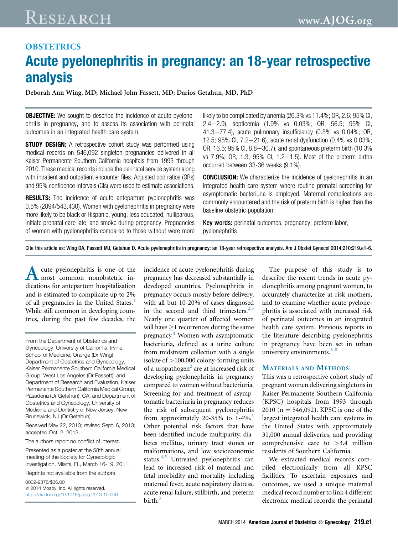# RESEARCH [www.AJOG.org](http://www.AJOG.org)

## **OBSTETRICS** Acute pyelonephritis in pregnancy: an 18-year retrospective analysis

 $D$  is the definite  $\bigcup_{i=0}^n$  and  $\bigcup_{i=0}^n$  definitions  $\bigcup_{i=0}^n$  and  $\bigcup_{i=0}^n$  definitions,  $\bigcup_{i=0}^n$  and  $\bigcup_{i=0}^n$ 

**OBJECTIVE:** We sought to describe the incidence of acute pyelonephritis in pregnancy, and to assess its association with perinatal outcomes in an integrated health care system.

**STUDY DESIGN:** A retrospective cohort study was performed using medical records on 546,092 singleton pregnancies delivered in all Kaiser Permanente Southern California hospitals from 1993 through 2010. These medical records include the perinatal service system along with inpatient and outpatient encounter files. Adjusted odd ratios (ORs) and 95% confidence intervals (CIs) were used to estimate associations.

**RESULTS:** The incidence of acute antepartum pyelonephritis was 0.5% (2894/543,430). Women with pyelonephritis in pregnancy were more likely to be black or Hispanic, young, less educated, nulliparous, initiate prenatal care late, and smoke during pregnancy. Pregnancies of women with pyelonephritis compared to those without were more

likely to be complicated by anemia (26.3% vs 11.4%; OR, 2.6; 95% CI, 2.4-2.9), septicemia (1.9% vs 0.03%; OR, 56.5; 95% CI,  $41.3 - 77.4$ ), acute pulmonary insufficiency  $(0.5\% \text{ vs } 0.04\%; \text{ OR},$ 12.5; 95% Cl,  $7.2 - 21.6$ ), acute renal dysfunction (0.4% vs 0.03%;  $OR$ , 16.5; 95% CI, 8.8–30.7), and spontaneous preterm birth (10.3%) vs  $7.9\%$ ; OR,  $1.3$ ;  $95\%$  Cl,  $1.2-1.5$ ). Most of the preterm births occurred between 33-36 weeks (9.1%).

**CONCLUSION:** We characterize the incidence of pyelonephritis in an integrated health care system where routine prenatal screening for asymptomatic bacteriuria is employed. Maternal complications are commonly encountered and the risk of preterm birth is higher than the baseline obstetric population.

Key words: perinatal outcomes, pregnancy, preterm labor, pyelonephritis

Cite this article as: Wing DA, Fassett MJ, Getahun D. Acute pyelonephritis in pregnancy: an 18-year retrospective analysis. Am J Obstet Gynecol 2014;210:219.e1-6.

A cute pyelonephritis is one of the<br>dications for antepartum hospitalization<br>and is estimated to complicate up to 2% most common nonobstetric indications for antepartum hospitalization of all pregnancies in the United States.<sup>[1](#page-5-0)</sup> While still common in developing countries, during the past few decades, the

From the Department of Obstetrics and Gynecology, University of California, Irvine, School of Medicine, Orange (Dr Wing); Department of Obstetrics and Gynecology, Kaiser Permanente Southern California Medical Group, West Los Angeles (Dr Fassett); and Department of Research and Evaluation, Kaiser Permanente Southern California Medical Group, Pasadena (Dr Getahun), CA, and Department of Obstetrics and Gynecology, University of Medicine and Dentistry of New Jersey, New Brunswick, NJ (Dr Getahun).

Received May 22, 2013; revised Sept. 6, 2013; accepted Oct. 2, 2013.

The authors report no conflict of interest.

Presented as a poster at the 58th annual meeting of the Society for Gynecologic Investigation, Miami, FL, March 16-19, 2011.

Reprints not available from the authors.

0002-9378/\$36.00  $© 2014 Mosby, Inc. All rights reserved.$ <http://dx.doi.org/10.1016/j.ajog.2013.10.006> incidence of acute pyelonephritis during pregnancy has decreased substantially in developed countries. Pyelonephritis in pregnancy occurs mostly before delivery, with all but 10-20% of cases diagnosed in the second and third trimesters. $2,3$ Nearly one quarter of affected women will have  $>1$  recurrences during the same pregnancy[.4](#page-5-0) Women with asymptomatic bacteriuria, defined as a urine culture from midstream collection with a single isolate of  $>100,000$  colony-forming units of a uropathogen<sup>[2](#page-5-0)</sup> are at increased risk of developing pyelonephritis in pregnancy compared to women without bacteriuria. Screening for and treatment of asymptomatic bacteriuria in pregnancy reduces the risk of subsequent pyelonephritis from approximately 20-35% to  $1-4\%$ . Other potential risk factors that have been identified include multiparity, diabetes mellitus, urinary tract stones or malformations, and low socioeconomic status. $4,5$  Untreated pyelonephritis can lead to increased risk of maternal and fetal morbidity and mortality including maternal fever, acute respiratory distress, acute renal failure, stillbirth, and preterm birth.<sup>[5](#page-5-0)</sup>

The purpose of this study is to describe the recent trends in acute pyelonephritis among pregnant women, to accurately characterize at-risk mothers, and to examine whether acute pyelonephritis is associated with increased risk of perinatal outcomes in an integrated health care system. Previous reports in the literature describing pyelonephritis in pregnancy have been set in urban university environments.<sup>[6-8](#page-5-0)</sup>

#### MATERIALS AND METHODS

This was a retrospective cohort study of pregnant women delivering singletons in Kaiser Permanente Southern California (KPSC) hospitals from 1993 through 2010 ( $n = 546,092$ ). KPSC is one of the largest integrated health care systems in the United States with approximately 31,000 annual deliveries, and providing comprehensive care to  $>3.4$  million residents of Southern California.

We extracted medical records compiled electronically from all KPSC facilities. To ascertain exposures and outcomes, we used a unique maternal medical record number to link 4 different electronic medical records: the perinatal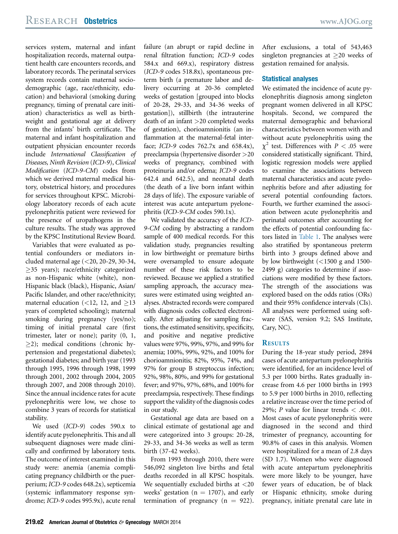services system, maternal and infant hospitalization records, maternal outpatient health care encounters records, and laboratory records. The perinatal services system records contain maternal sociodemographic (age, race/ethnicity, education) and behavioral (smoking during pregnancy, timing of prenatal care initiation) characteristics as well as birthweight and gestational age at delivery from the infants' birth certificate. The maternal and infant hospitalization and outpatient physician encounter records include International Classification of Diseases, Ninth Revision (ICD-9), Clinical Modification (ICD-9-CM) codes from which we derived maternal medical history, obstetrical history, and procedures for services throughout KPSC. Microbiology laboratory records of each acute pyelonephritis patient were reviewed for the presence of uropathogens in the culture results. The study was approved by the KPSC Institutional Review Board.

Variables that were evaluated as potential confounders or mediators included maternal age (<20, 20-29, 30-34,  $\geq$ 35 years); race/ethnicity categorized as non-Hispanic white (white), non-Hispanic black (black), Hispanic, Asian/ Pacific Islander, and other race/ethnicity; maternal education  $\left( < 12, 12, \text{ and } > 13 \right)$ years of completed schooling); maternal smoking during pregnancy (yes/no); timing of initial prenatal care (first trimester, later or none); parity (0, 1,  $>$ 2); medical conditions (chronic hypertension and pregestational diabetes); gestational diabetes; and birth year (1993 through 1995, 1996 through 1998, 1999 through 2001, 2002 through 2004, 2005 through 2007, and 2008 through 2010). Since the annual incidence rates for acute pyelonephritis were low, we chose to combine 3 years of records for statistical stability.

We used (ICD-9) codes 590.x to identify acute pyelonephritis. This and all subsequent diagnoses were made clinically and confirmed by laboratory tests. The outcome of interest examined in this study were: anemia (anemia complicating pregnancy childbirth or the puerperium; ICD-9 codes 648.2x), septicemia (systemic inflammatory response syndrome; ICD-9 codes 995.9x), acute renal failure (an abrupt or rapid decline in renal filtration function; ICD-9 codes 584.x and 669.x), respiratory distress (ICD-9 codes 518.8x), spontaneous preterm birth (a premature labor and delivery occurring at 20-36 completed weeks of gestation [grouped into blocks of 20-28, 29-33, and 34-36 weeks of gestation]), stillbirth (the intrauterine death of an infant >20 completed weeks of gestation), chorioamnionitis (an inflammation at the maternal-fetal interface; ICD-9 codes 762.7x and 658.4x), preeclampsia (hypertensive disorder >20 weeks of pregnancy, combined with proteinuria and/or edema; ICD-9 codes 642.4 and 642.5), and neonatal death (the death of a live born infant within 28 days of life). The exposure variable of interest was acute antepartum pyelonephritis (ICD-9-CM codes 590.1x).

We validated the accuracy of the ICD-9-CM coding by abstracting a random sample of 400 medical records. For this validation study, pregnancies resulting in low birthweight or premature births were oversampled to ensure adequate number of these risk factors to be reviewed. Because we applied a stratified sampling approach, the accuracy measures were estimated using weighted analyses. Abstracted records were compared with diagnosis codes collected electronically. After adjusting for sampling fractions, the estimated sensitivity, specificity, and positive and negative predictive values were 97%, 99%, 97%, and 99% for anemia; 100%, 99%, 92%, and 100% for chorioamnionitis; 82%, 95%, 74%, and 97% for group B streptoccus infection; 92%, 98%, 80%, and 99% for gestational fever; and 97%, 97%, 68%, and 100% for preeclampsia, respectively. These findings support the validity of the diagnosis codes in our study.

Gestational age data are based on a clinical estimate of gestational age and were categorized into 3 groups: 20-28, 29-33, and 34-36 weeks as well as term birth (37-42 weeks).

From 1993 through 2010, there were 546,092 singleton live births and fetal deaths recorded in all KPSC hospitals. We sequentially excluded births at  $\langle 20 \rangle$ weeks' gestation ( $n = 1707$ ), and early termination of pregnancy  $(n = 922)$ .

After exclusions, a total of 543,463 singleton pregnancies at  $>$ 20 weeks of gestation remained for analysis.

#### Statistical analyses

We estimated the incidence of acute pyelonephritis diagnosis among singleton pregnant women delivered in all KPSC hospitals. Second, we compared the maternal demographic and behavioral characteristics between women with and without acute pyelonephritis using the  $\chi^2$  test. Differences with  $P < .05$  were considered statistically significant. Third, logistic regression models were applied to examine the associations between maternal characteristics and acute pyelonephritis before and after adjusting for several potential confounding factors. Fourth, we further examined the association between acute pyelonephritis and perinatal outcomes after accounting for the effects of potential confounding factors listed in [Table 1.](#page-2-0) The analyses were also stratified by spontaneous preterm birth into 3 groups defined above and by low birthweight  $\left($  < 1500 g and 1500-2499 g) categories to determine if associations were modified by these factors. The strength of the associations was explored based on the odds ratios (ORs) and their 95% confidence intervals (CIs). All analyses were performed using software (SAS, version 9.2; SAS Institute, Cary, NC).

#### **RESULTS**

During the 18-year study period, 2894 cases of acute antepartum pyelonephritis were identified, for an incidence level of 5.3 per 1000 births. Rates gradually increase from 4.6 per 1000 births in 1993 to 5.9 per 1000 births in 2010, reflecting a relative increase over the time period of 29%; P value for linear trends  $< .001$ . Most cases of acute pyelonephritis were diagnosed in the second and third trimester of pregnancy, accounting for 90.8% of cases in this analysis. Women were hospitalized for a mean of 2.8 days (SD 1.7). Women who were diagnosed with acute antepartum pyelonephritis were more likely to be younger, have fewer years of education, be of black or Hispanic ethnicity, smoke during pregnancy, initiate prenatal care late in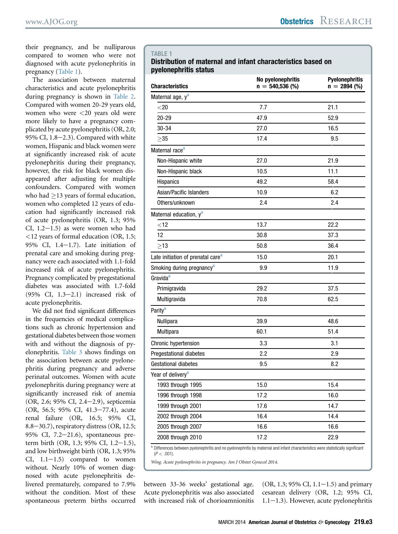<span id="page-2-0"></span>their pregnancy, and be nulliparous compared to women who were not diagnosed with acute pyelonephritis in pregnancy (Table 1).

The association between maternal characteristics and acute pyelonephritis during pregnancy is shown in [Table 2.](#page-3-0) Compared with women 20-29 years old, women who were <20 years old were more likely to have a pregnancy complicated by acute pyelonephritis (OR, 2.0; 95% CI,  $1.8-2.3$ ). Compared with white women, Hispanic and black women were at significantly increased risk of acute pyelonephritis during their pregnancy, however, the risk for black women disappeared after adjusting for multiple confounders. Compared with women who had  $>$ 13 years of formal education, women who completed 12 years of education had significantly increased risk of acute pyelonephritis (OR, 1.3; 95%  $CI, 1.2-1.5)$  as were women who had <12 years of formal education (OR, 1.5; 95% CI,  $1.4-1.7$ ). Late initiation of prenatal care and smoking during pregnancy were each associated with 1.1-fold increased risk of acute pyelonephritis. Pregnancy complicated by pregestational diabetes was associated with 1.7-fold  $(95\% \text{ CI}, 1.3-2.1)$  increased risk of acute pyelonephritis.

We did not find significant differences in the frequencies of medical complications such as chronic hypertension and gestational diabetes between those women with and without the diagnosis of pyelonephritis. [Table 3](#page-4-0) shows findings on the association between acute pyelonephritis during pregnancy and adverse perinatal outcomes. Women with acute pyelonephritis during pregnancy were at significantly increased risk of anemia (OR, 2.6; 95% CI, 2.4-2.9), septicemia (OR, 56.5; 95% CI, 41.3-77.4), acute renal failure (OR, 16.5; 95% CI, 8.8-30.7), respiratory distress (OR, 12.5; 95% CI,  $7.2-21.6$ ), spontaneous preterm birth (OR, 1.3; 95% CI, 1.2-1.5), and low birthweight birth (OR, 1.3; 95%  $CI, 1.1-1.5)$  compared to women without. Nearly 10% of women diagnosed with acute pyelonephritis delivered prematurely, compared to 7.9% without the condition. Most of these spontaneous preterm births occurred

#### TABLE 1

#### Distribution of maternal and infant characteristics based on pyelonephritis status

| <b>Characteristics</b>                        | No pyelonephritis<br>$n = 540,536$ (%) | <b>Pyelonephritis</b><br>$n = 2894$ (%) |
|-----------------------------------------------|----------------------------------------|-----------------------------------------|
| Maternal age, y <sup>a</sup>                  |                                        |                                         |
| $<$ 20                                        | 7.7                                    | 21.1                                    |
| 20-29                                         | 47.9                                   | 52.9                                    |
| 30-34                                         | 27.0                                   | 16.5                                    |
| >35                                           | 17.4                                   | 9.5                                     |
| Maternal race <sup>a</sup>                    |                                        |                                         |
| Non-Hispanic white                            | 27.0                                   | 21.9                                    |
| Non-Hispanic black                            | 10.5                                   | 11.1                                    |
| Hispanics                                     | 49.2                                   | 58.4                                    |
| Asian/Pacific Islanders                       | 10.9                                   | 6.2                                     |
| Others/unknown                                | 2.4                                    | 2.4                                     |
| Maternal education, y <sup>a</sup>            |                                        |                                         |
| $<$ 12                                        | 13.7                                   | 22.2                                    |
| 12                                            | 30.8                                   | 37.3                                    |
| $\geq$ 13                                     | 50.8                                   | 36.4                                    |
| Late initiation of prenatal care <sup>a</sup> | 15.0                                   | 20.1                                    |
| Smoking during pregnancy <sup>a</sup>         | 9.9                                    | 11.9                                    |
| Gravida <sup>a</sup>                          |                                        |                                         |
| Primigravida                                  | 29.2                                   | 37.5                                    |
| Multigravida                                  | 70.8                                   | 62.5                                    |
| Parity <sup>a</sup>                           |                                        |                                         |
| Nullipara                                     | 39.9                                   | 48.6                                    |
| Multipara                                     | 60.1                                   | 51.4                                    |
| Chronic hypertension                          | 3.3                                    | 3.1                                     |
| Pregestational diabetes                       | 2.2                                    | 2.9                                     |
| Gestational diabetes                          | 9.5                                    | 8.2                                     |
| Year of delivery <sup>a</sup>                 |                                        |                                         |
| 1993 through 1995                             | 15.0                                   | 15.4                                    |
| 1996 through 1998                             | 17.2                                   | 16.0                                    |
| 1999 through 2001                             | 17.6                                   | 14.7                                    |
| 2002 through 2004                             | 16.4                                   | 14.4                                    |
| 2005 through 2007                             | 16.6                                   | 16.6                                    |
| 2008 through 2010                             | 17.2                                   | 22.9                                    |

<sup>a</sup> Differences between pyelonephritis and no pyelonephritis by maternal and infant characteristics were statistically significant  $(P < .001)$ .

Wing. Acute pyelonephritis in pregnancy. Am J Obstet Gynecol 2014.

between 33-36 weeks' gestational age. Acute pyelonephritis was also associated with increased risk of chorioamnionitis

(OR, 1.3; 95% CI, 1.1–1.5) and primary cesarean delivery (OR, 1.2; 95% CI,  $1.1-1.3$ ). However, acute pyelonephritis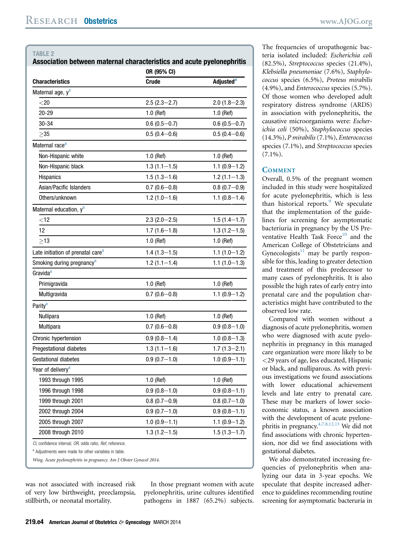<span id="page-3-0"></span>

|                                               | OR (95% CI)      |                             |  |
|-----------------------------------------------|------------------|-----------------------------|--|
| <b>Characteristics</b>                        | <b>Crude</b>     | <b>Adjusted<sup>a</sup></b> |  |
| Maternal age, y <sup>a</sup>                  |                  |                             |  |
| $<$ 20                                        | $2.5(2.3 - 2.7)$ | $2.0(1.8-2.3)$              |  |
| 20-29                                         | $1.0$ (Ref)      | $1.0$ (Ref)                 |  |
| 30-34                                         | $0.6(0.5-0.7)$   | $0.6(0.5 - 0.7)$            |  |
| >35                                           | $0.5(0.4-0.6)$   | $0.5(0.4-0.6)$              |  |
| Maternal race <sup>a</sup>                    |                  |                             |  |
| Non-Hispanic white                            | $1.0$ (Ref)      | $1.0$ (Ref)                 |  |
| Non-Hispanic black                            | $1.3(1.1-1.5)$   | $1.1(0.9-1.2)$              |  |
| Hispanics                                     | $1.5(1.3-1.6)$   | $1.2(1.1-1.3)$              |  |
| Asian/Pacific Islanders                       | $0.7(0.6-0.8)$   | $0.8(0.7-0.9)$              |  |
| Others/unknown                                | $1.2(1.0-1.6)$   | $1.1(0.8-1.4)$              |  |
| Maternal education, y <sup>a</sup>            |                  |                             |  |
| $<$ 12                                        | $2.3(2.0-2.5)$   | $1.5(1.4-1.7)$              |  |
| 12                                            | $1.7(1.6-1.8)$   | $1.3(1.2 - 1.5)$            |  |
| $>13$                                         | $1.0$ (Ref)      | $1.0$ (Ref)                 |  |
| Late initiation of prenatal care <sup>a</sup> | $1.4(1.3-1.5)$   | $1.1(1.0-1.2)$              |  |
| Smoking during pregnancy <sup>a</sup>         | $1.2(1.1 - 1.4)$ | $1.1(1.0-1.3)$              |  |
| Gravida <sup>a</sup>                          |                  |                             |  |
| Primigravida                                  | 1.0 (Ref)        | $1.0$ (Ref)                 |  |
| Multigravida                                  | $0.7(0.6-0.8)$   | $1.1(0.9-1.2)$              |  |
| Parity <sup>a</sup>                           |                  |                             |  |
| Nullipara                                     | $1.0$ (Ref)      | $1.0$ (Ref)                 |  |
| Multipara                                     | $0.7(0.6-0.8)$   | $0.9(0.8-1.0)$              |  |
| Chronic hypertension                          | $0.9(0.8-1.4)$   | $1.0(0.8-1.3)$              |  |
| Pregestational diabetes                       | $1.3(1.1-1.6)$   | $1.7(1.3 - 2.1)$            |  |
| Gestational diabetes                          | $0.9(0.7-1.0)$   | $1.0(0.9-1.1)$              |  |
| Year of delivery <sup>a</sup>                 |                  |                             |  |
| 1993 through 1995                             | $1.0$ (Ref)      | $1.0$ (Ref)                 |  |
| 1996 through 1998                             | $0.9(0.8-1.0)$   | $0.9(0.8-1.1)$              |  |
| 1999 through 2001                             | $0.8(0.7-0.9)$   | $0.8(0.7-1.0)$              |  |
| 2002 through 2004                             | $0.9(0.7-1.0)$   | $0.9(0.8 - 1.1)$            |  |
| 2005 through 2007                             | $1.0(0.9 - 1.1)$ | $1.1(0.9-1.2)$              |  |

2008 through 2010 1.3 (1.2–1.5) 1.5 (1.3–1.7)

CI, confidence interval: OR, odds ratio: Ref, reference.

a Adjustments were made for other variables in table.

Wing. Acute pyelonephritis in pregnancy. Am J Obstet Gynecol 2014.

was not associated with increased risk of very low birthweight, preeclampsia, stillbirth, or neonatal mortality.

In those pregnant women with acute pyelonephritis, urine cultures identified pathogens in 1887 (65.2%) subjects.

The frequencies of uropathogenic bacteria isolated included: Escherichia coli (82.5%), Streptococcus species (21.4%), Klebsiella pneumoniae (7.6%), Staphylococcus species (6.5%), Proteus mirabilis (4.9%), and Enterococcus species (5.7%). Of those women who developed adult respiratory distress syndrome (ARDS) in association with pyelonephritis, the causative microorganisms were: Escherichia coli (50%), Staphylococcus species (14.3%), P mirabilis (7.1%), Enterococcus species (7.1%), and Streptococcus species  $(7.1\%)$ .

#### **COMMENT**

Overall, 0.5% of the pregnant women included in this study were hospitalized for acute pyelonephritis, which is less than historical reports. $9$  We speculate that the implementation of the guidelines for screening for asymptomatic bacteriuria in pregnancy by the US Pre-ventative Health Task Force<sup>[10](#page-5-0)</sup> and the American College of Obstetricians and Gynecologists $11$  may be partly responsible for this, leading to greater detection and treatment of this predecessor to many cases of pyelonephritis. It is also possible the high rates of early entry into prenatal care and the population characteristics might have contributed to the observed low rate.

Compared with women without a diagnosis of acute pyelonephritis, women who were diagnosed with acute pyelonephritis in pregnancy in this managed care organization were more likely to be <29 years of age, less educated, Hispanic or black, and nulliparous. As with previous investigations we found associations with lower educational achievement levels and late entry to prenatal care. These may be markers of lower socioeconomic status, a known association with the development of acute pyelonephritis in pregnancy.  $4,7,8,12,13$  We did not find associations with chronic hypertension, nor did we find associations with gestational diabetes.

We also demonstrated increasing frequencies of pyelonephritis when analyzing our data in 3-year epochs. We speculate that despite increased adherence to guidelines recommending routine screening for asymptomatic bacteruria in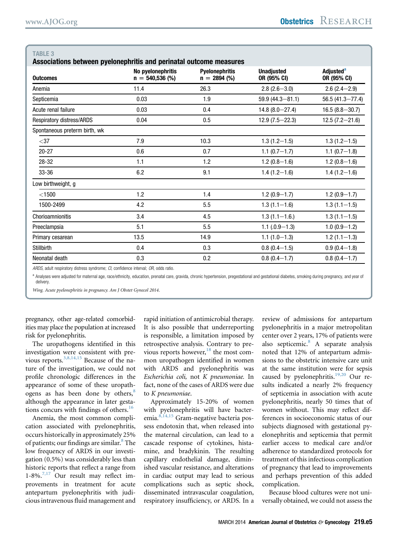| Associations between pyelonephritis and perinatal outcome measures |                                        |                                         |                                  |                                            |  |  |
|--------------------------------------------------------------------|----------------------------------------|-----------------------------------------|----------------------------------|--------------------------------------------|--|--|
| <b>Outcomes</b>                                                    | No pyelonephritis<br>$n = 540,536$ (%) | <b>Pyelonephritis</b><br>$n = 2894$ (%) | <b>Unadjusted</b><br>OR (95% CI) | <b>Adjusted<sup>a</sup></b><br>OR (95% CI) |  |  |
| Anemia                                                             | 11.4                                   | 26.3                                    | $2.8(2.6 - 3.0)$                 | $2.6(2.4 - 2.9)$                           |  |  |
| Septicemia                                                         | 0.03                                   | 1.9                                     | $59.9(44.3 - 81.1)$              | $56.5(41.3 - 77.4)$                        |  |  |
| Acute renal failure                                                | 0.03                                   | 0.4                                     | $14.8(8.0 - 27.4)$               | $16.5(8.8 - 30.7)$                         |  |  |
| <b>Respiratory distress/ARDS</b>                                   | 0.04                                   | 0.5                                     | $12.9(7.5 - 22.3)$               | $12.5(7.2 - 21.6)$                         |  |  |
| Spontaneous preterm birth, wk                                      |                                        |                                         |                                  |                                            |  |  |
| $<$ 37                                                             | 7.9                                    | 10.3                                    | $1.3(1.2 - 1.5)$                 | $1.3(1.2 - 1.5)$                           |  |  |
| $20 - 27$                                                          | 0.6                                    | 0.7                                     | $1.1(0.7-1.7)$                   | $1.1(0.7-1.8)$                             |  |  |
| 28-32                                                              | 1.1                                    | 1.2                                     | $1.2(0.8-1.6)$                   | $1.2(0.8-1.6)$                             |  |  |
| 33-36                                                              | 6.2                                    | 9.1                                     | $1.4(1.2 - 1.6)$                 | $1.4(1.2 - 1.6)$                           |  |  |
| Low birthweight, g                                                 |                                        |                                         |                                  |                                            |  |  |
| $<$ 1500                                                           | 1.2                                    | 1.4                                     | $1.2(0.9-1.7)$                   | $1.2(0.9-1.7)$                             |  |  |
| 1500-2499                                                          | 4.2                                    | 5.5                                     | $1.3(1.1-1.6)$                   | $1.3(1.1-1.5)$                             |  |  |
| Chorioamnionitis                                                   | 3.4                                    | 4.5                                     | $1.3(1.1 - 1.6)$                 | $1.3(1.1 - 1.5)$                           |  |  |
| Preeclampsia                                                       | 5.1                                    | 5.5                                     | $1.1(.0.9 - 1.3)$                | $1.0(0.9-1.2)$                             |  |  |
| Primary cesarean                                                   | 13.5                                   | 14.9                                    | $1.1(1.0-1.3)$                   | $1.2(1.1-1.3)$                             |  |  |
| Stillbirth                                                         | 0.4                                    | 0.3                                     | $0.8(0.4-1.5)$                   | $0.9(0.4-1.8)$                             |  |  |
| Neonatal death                                                     | 0.3                                    | 0.2                                     | $0.8(0.4-1.7)$                   | $0.8(0.4-1.7)$                             |  |  |
|                                                                    |                                        |                                         |                                  |                                            |  |  |

<span id="page-4-0"></span>TABI F 3

ARDS, adult respiratory distress syndrome; CI, confidence interval; OR, odds ratio.

a Analyses were adjusted for maternal age, race/ethnicity, education, prenatal care, gravida, chronic hypertension, pregestational and gestational diabetes, smoking during pregnancy, and year of delivery.

Wing. Acute pyelonephritis in pregnancy. Am J Obstet Gynecol 2014.

pregnancy, other age-related comorbidities may place the population at increased risk for pyelonephritis.

The uropathogens identified in this investigation were consistent with previous reports.[3,8,14,15](#page-5-0) Because of the nature of the investigation, we could not profile chronologic differences in the appearance of some of these uropath-ogens as has been done by others,<sup>[8](#page-5-0)</sup> although the appearance in later gestations concurs with findings of others. $16$ 

Anemia, the most common complication associated with pyelonephritis, occurs historically in approximately 25% of patients; our findings are similar.<sup>[8](#page-5-0)</sup> The low frequency of ARDS in our investigation (0.5%) was considerably less than historic reports that reflect a range from  $1-8\%$ .<sup>[7,17](#page-5-0)</sup> Our result may reflect improvements in treatment for acute antepartum pyelonephritis with judicious intravenous fluid management and

rapid initiation of antimicrobial therapy. It is also possible that underreporting is responsible, a limitation imposed by retrospective analysis. Contrary to pre-vious reports however,<sup>[18](#page-5-0)</sup> the most common uropathogen identified in women with ARDS and pyelonephritis was Escherichia coli, not K pneumoniae. In fact, none of the cases of ARDS were due to K pneumoniae.

Approximately 15-20% of women with pyelonephritis will have bacteremia. $8,14,15$  Gram-negative bacteria possess endotoxin that, when released into the maternal circulation, can lead to a cascade response of cytokines, histamine, and bradykinin. The resulting capillary endothelial damage, diminished vascular resistance, and alterations in cardiac output may lead to serious complications such as septic shock, disseminated intravascular coagulation, respiratory insufficiency, or ARDS. In a review of admissions for antepartum pyelonephritis in a major metropolitan center over 2 years, 17% of patients were also septicemic.<sup>[8](#page-5-0)</sup> A separate analysis noted that 12% of antepartum admissions to the obstetric intensive care unit at the same institution were for sepsis caused by pyelonephritis. $19,20$  Our results indicated a nearly 2% frequency of septicemia in association with acute pyelonephritis, nearly 50 times that of women without. This may reflect differences in socioeconomic status of our subjects diagnosed with gestational pyelonephritis and septicemia that permit earlier access to medical care and/or adherence to standardized protocols for treatment of this infectious complication of pregnancy that lead to improvements and perhaps prevention of this added complication.

Because blood cultures were not universally obtained, we could not assess the